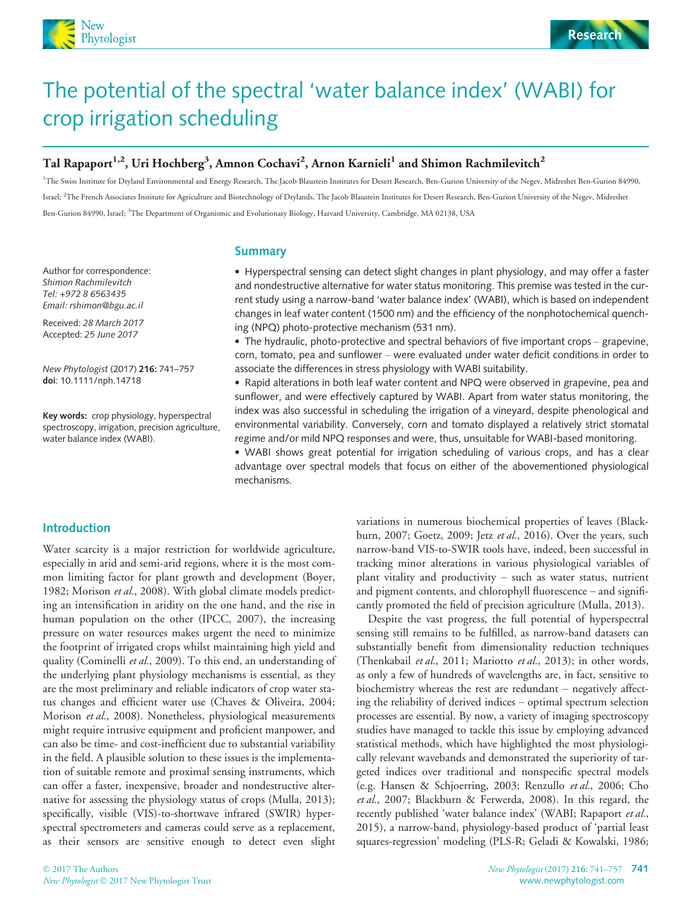



# The potential of the spectral 'water balance index' (WABI) for crop irrigation scheduling

# Tal Rapaport $^{1,2}$ , Uri Hochberg $^3$ , Amnon Cochavi $^2$ , Arnon Karnieli $^1$  and Shimon Rachmilevitch $^2$

<sup>1</sup>The Swiss Institute for Dryland Environmental and Energy Research, The Jacob Blaustein Institutes for Desert Research, Ben-Gurion University of the Negev, Midreshet Ben-Gurion 84990, Israel; <sup>2</sup>The French Associates Institute for Agriculture and Biotechnology of Drylands, The Jacob Blaustein Institutes for Desert Research, Ben-Gurion University of the Negev, Midreshet Ben-Gurion 84990, Israel; <sup>3-</sup>The Department of Organismic and Evolutionary Biology, Harvard University, Cambridge, MA 02138, USA

#### Summary

Author for correspondence:<br>Shimon Rachmilevitch Tel: +972 8 6563435 Email: rshimon@bgu.ac.il  $\mathcal{L}$ 

Received: 28 March 2017 Accepted: 25 June 2017

New Phytologist (2017) 216: 741–757 doi: 10.1111/nph.14718

Key words: crop physiology, hyperspectral spectroscopy, irrigation, precision agriculture, water balance index (WABI).

 Hyperspectral sensing can detect slight changes in plant physiology, and may offer a faster and nondestructive alternative for water status monitoring. This premise was tested in the current study using a narrow-band 'water balance index' (WABI), which is based on independent changes in leaf water content (1500 nm) and the efficiency of the nonphotochemical quenching (NPQ) photo-protective mechanism (531 nm).

 The hydraulic, photo-protective and spectral behaviors of five important crops – grapevine, corn, tomato, pea and sunflower – were evaluated under water deficit conditions in order to associate the differences in stress physiology with WABI suitability.

• Rapid alterations in both leaf water content and NPQ were observed in grapevine, pea and sunflower, and were effectively captured by WABI. Apart from water status monitoring, the index was also successful in scheduling the irrigation of a vineyard, despite phenological and environmental variability. Conversely, corn and tomato displayed a relatively strict stomatal regime and/or mild NPQ responses and were, thus, unsuitable for WABI-based monitoring.

 WABI shows great potential for irrigation scheduling of various crops, and has a clear advantage over spectral models that focus on either of the abovementioned physiological mechanisms.

#### Introduction

Water scarcity is a major restriction for worldwide agriculture, especially in arid and semi-arid regions, where it is the most common limiting factor for plant growth and development (Boyer, 1982; Morison et al., 2008). With global climate models predicting an intensification in aridity on the one hand, and the rise in human population on the other (IPCC, 2007), the increasing pressure on water resources makes urgent the need to minimize the footprint of irrigated crops whilst maintaining high yield and quality (Cominelli et al., 2009). To this end, an understanding of the underlying plant physiology mechanisms is essential, as they are the most preliminary and reliable indicators of crop water status changes and efficient water use (Chaves & Oliveira, 2004; Morison et al., 2008). Nonetheless, physiological measurements might require intrusive equipment and proficient manpower, and can also be time- and cost-inefficient due to substantial variability in the field. A plausible solution to these issues is the implementation of suitable remote and proximal sensing instruments, which can offer a faster, inexpensive, broader and nondestructive alternative for assessing the physiology status of crops (Mulla, 2013); specifically, visible (VIS)-to-shortwave infrared (SWIR) hyperspectral spectrometers and cameras could serve as a replacement, as their sensors are sensitive enough to detect even slight

2017 The Authors

New Phytologist © 2017 New Phytologist Trust

variations in numerous biochemical properties of leaves (Blackburn, 2007; Goetz, 2009; Jetz et al., 2016). Over the years, such narrow-band VIS-to-SWIR tools have, indeed, been successful in tracking minor alterations in various physiological variables of plant vitality and productivity – such as water status, nutrient and pigment contents, and chlorophyll fluorescence – and significantly promoted the field of precision agriculture (Mulla, 2013).

Despite the vast progress, the full potential of hyperspectral sensing still remains to be fulfilled, as narrow-band datasets can substantially benefit from dimensionality reduction techniques (Thenkabail et al., 2011; Mariotto et al., 2013); in other words, as only a few of hundreds of wavelengths are, in fact, sensitive to biochemistry whereas the rest are redundant – negatively affecting the reliability of derived indices – optimal spectrum selection processes are essential. By now, a variety of imaging spectroscopy studies have managed to tackle this issue by employing advanced statistical methods, which have highlighted the most physiologically relevant wavebands and demonstrated the superiority of targeted indices over traditional and nonspecific spectral models (e.g. Hansen & Schjoerring, 2003; Renzullo et al., 2006; Cho et al., 2007; Blackburn & Ferwerda, 2008). In this regard, the recently published 'water balance index' (WABI; Rapaport et al., 2015), a narrow-band, physiology-based product of 'partial least squares-regression' modeling (PLS-R; Geladi & Kowalski, 1986;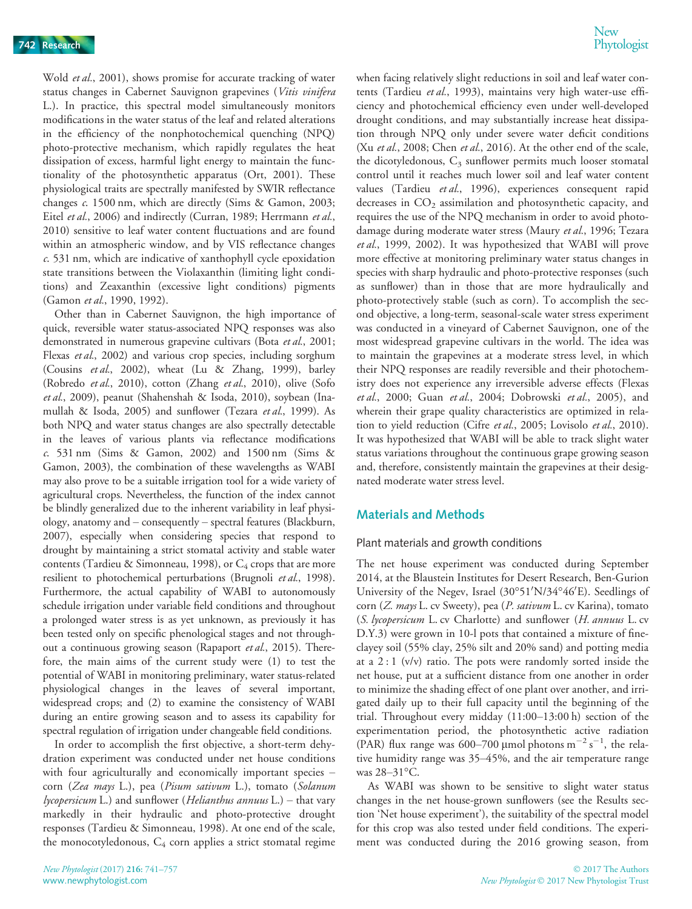Wold et al., 2001), shows promise for accurate tracking of water status changes in Cabernet Sauvignon grapevines (Vitis vinifera L.). In practice, this spectral model simultaneously monitors modifications in the water status of the leaf and related alterations in the efficiency of the nonphotochemical quenching (NPQ) photo-protective mechanism, which rapidly regulates the heat dissipation of excess, harmful light energy to maintain the functionality of the photosynthetic apparatus (Ort, 2001). These physiological traits are spectrally manifested by SWIR reflectance changes c. 1500 nm, which are directly (Sims & Gamon, 2003; Eitel et al., 2006) and indirectly (Curran, 1989; Herrmann et al., 2010) sensitive to leaf water content fluctuations and are found within an atmospheric window, and by VIS reflectance changes c. 531 nm, which are indicative of xanthophyll cycle epoxidation state transitions between the Violaxanthin (limiting light conditions) and Zeaxanthin (excessive light conditions) pigments (Gamon et al., 1990, 1992).

Other than in Cabernet Sauvignon, the high importance of quick, reversible water status-associated NPQ responses was also demonstrated in numerous grapevine cultivars (Bota et al., 2001; Flexas et al., 2002) and various crop species, including sorghum (Cousins et al., 2002), wheat (Lu & Zhang, 1999), barley (Robredo et al., 2010), cotton (Zhang et al., 2010), olive (Sofo et al., 2009), peanut (Shahenshah & Isoda, 2010), soybean (Inamullah & Isoda, 2005) and sunflower (Tezara et al., 1999). As both NPQ and water status changes are also spectrally detectable in the leaves of various plants via reflectance modifications c. 531 nm (Sims & Gamon, 2002) and 1500 nm (Sims & Gamon, 2003), the combination of these wavelengths as WABI may also prove to be a suitable irrigation tool for a wide variety of agricultural crops. Nevertheless, the function of the index cannot be blindly generalized due to the inherent variability in leaf physiology, anatomy and – consequently – spectral features (Blackburn, 2007), especially when considering species that respond to drought by maintaining a strict stomatal activity and stable water contents (Tardieu & Simonneau, 1998), or  $C_4$  crops that are more resilient to photochemical perturbations (Brugnoli *et al.*, 1998). Furthermore, the actual capability of WABI to autonomously schedule irrigation under variable field conditions and throughout a prolonged water stress is as yet unknown, as previously it has been tested only on specific phenological stages and not throughout a continuous growing season (Rapaport et al., 2015). Therefore, the main aims of the current study were (1) to test the potential of WABI in monitoring preliminary, water status-related physiological changes in the leaves of several important, widespread crops; and (2) to examine the consistency of WABI during an entire growing season and to assess its capability for spectral regulation of irrigation under changeable field conditions.

In order to accomplish the first objective, a short-term dehydration experiment was conducted under net house conditions with four agriculturally and economically important species – corn (Zea mays L.), pea (Pisum sativum L.), tomato (Solanum lycopersicum L.) and sunflower (*Helianthus annuus* L.) – that vary markedly in their hydraulic and photo-protective drought responses (Tardieu & Simonneau, 1998). At one end of the scale, the monocotyledonous,  $C_4$  corn applies a strict stomatal regime

when facing relatively slight reductions in soil and leaf water contents (Tardieu et al., 1993), maintains very high water-use efficiency and photochemical efficiency even under well-developed drought conditions, and may substantially increase heat dissipation through NPQ only under severe water deficit conditions (Xu et al., 2008; Chen et al., 2016). At the other end of the scale, the dicotyledonous,  $C_3$  sunflower permits much looser stomatal control until it reaches much lower soil and leaf water content values (Tardieu et al., 1996), experiences consequent rapid decreases in  $CO<sub>2</sub>$  assimilation and photosynthetic capacity, and requires the use of the NPQ mechanism in order to avoid photodamage during moderate water stress (Maury et al., 1996; Tezara et al., 1999, 2002). It was hypothesized that WABI will prove more effective at monitoring preliminary water status changes in species with sharp hydraulic and photo-protective responses (such as sunflower) than in those that are more hydraulically and photo-protectively stable (such as corn). To accomplish the second objective, a long-term, seasonal-scale water stress experiment was conducted in a vineyard of Cabernet Sauvignon, one of the most widespread grapevine cultivars in the world. The idea was to maintain the grapevines at a moderate stress level, in which their NPQ responses are readily reversible and their photochemistry does not experience any irreversible adverse effects (Flexas et al., 2000; Guan et al., 2004; Dobrowski et al., 2005), and wherein their grape quality characteristics are optimized in relation to yield reduction (Cifre et al., 2005; Lovisolo et al., 2010). It was hypothesized that WABI will be able to track slight water status variations throughout the continuous grape growing season and, therefore, consistently maintain the grapevines at their designated moderate water stress level.

#### Materials and Methods

#### Plant materials and growth conditions

The net house experiment was conducted during September 2014, at the Blaustein Institutes for Desert Research, Ben-Gurion University of the Negev, Israel (30°51'N/34°46'E). Seedlings of corn (Z. mays L. cv Sweety), pea (P. sativum L. cv Karina), tomato (S. lycopersicum L. cv Charlotte) and sunflower (H. annuus L. cv D.Y.3) were grown in 10-l pots that contained a mixture of fineclayey soil (55% clay, 25% silt and 20% sand) and potting media at a 2 : 1 (v/v) ratio. The pots were randomly sorted inside the net house, put at a sufficient distance from one another in order to minimize the shading effect of one plant over another, and irrigated daily up to their full capacity until the beginning of the trial. Throughout every midday (11:00–13:00 h) section of the experimentation period, the photosynthetic active radiation (PAR) flux range was 600–700 µmol photons  $m^{-2} s^{-1}$ , the relative humidity range was 35–45%, and the air temperature range was 28–31°C.

As WABI was shown to be sensitive to slight water status changes in the net house-grown sunflowers (see the Results section 'Net house experiment'), the suitability of the spectral model for this crop was also tested under field conditions. The experiment was conducted during the 2016 growing season, from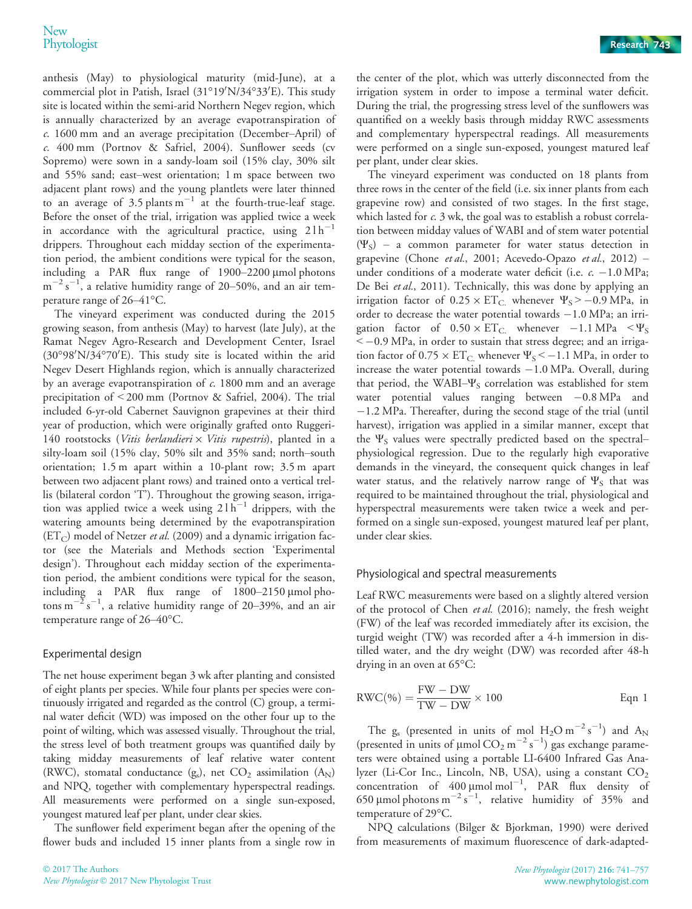anthesis (May) to physiological maturity (mid-June), at a commercial plot in Patish, Israel (31°19′N/34°33′E). This study site is located within the semi-arid Northern Negev region, which is annually characterized by an average evapotranspiration of c. 1600 mm and an average precipitation (December–April) of c. 400 mm (Portnov & Safriel, 2004). Sunflower seeds (cv Sopremo) were sown in a sandy-loam soil (15% clay, 30% silt and 55% sand; east–west orientation; 1 m space between two adjacent plant rows) and the young plantlets were later thinned to an average of 3.5 plants  $m^{-1}$  at the fourth-true-leaf stage. Before the onset of the trial, irrigation was applied twice a week in accordance with the agricultural practice, using  $2 \ln^{-1}$ drippers. Throughout each midday section of the experimentation period, the ambient conditions were typical for the season, including a PAR flux range of  $1900-2200 \mu$ mol photons  $m^{-2}$  s<sup>-1</sup>, a relative humidity range of 20–50%, and an air temperature range of 26–41°C.

The vineyard experiment was conducted during the 2015 growing season, from anthesis (May) to harvest (late July), at the Ramat Negev Agro-Research and Development Center, Israel  $(30°98'N/34°70'E)$ . This study site is located within the arid Negev Desert Highlands region, which is annually characterized by an average evapotranspiration of  $c$ . 1800 mm and an average precipitation of < 200 mm (Portnov & Safriel, 2004). The trial included 6-yr-old Cabernet Sauvignon grapevines at their third year of production, which were originally grafted onto Ruggeri-140 rootstocks (Vitis berlandieri  $\times$  Vitis rupestris), planted in a silty-loam soil (15% clay, 50% silt and 35% sand; north–south orientation; 1.5 m apart within a 10-plant row; 3.5 m apart between two adjacent plant rows) and trained onto a vertical trellis (bilateral cordon 'T'). Throughout the growing season, irrigation was applied twice a week using  $21h^{-1}$  drippers, with the watering amounts being determined by the evapotranspiration  $(ET_C)$  model of Netzer *et al.* (2009) and a dynamic irrigation factor (see the Materials and Methods section 'Experimental design'). Throughout each midday section of the experimentation period, the ambient conditions were typical for the season, including a PAR flux range of  $1800-2150 \mu$ mol photons m $^{-2}$  s $^{-1}$ , a relative humidity range of 20–39%, and an air temperature range of 26–40°C.

#### Experimental design

The net house experiment began 3 wk after planting and consisted of eight plants per species. While four plants per species were continuously irrigated and regarded as the control (C) group, a terminal water deficit (WD) was imposed on the other four up to the point of wilting, which was assessed visually. Throughout the trial, the stress level of both treatment groups was quantified daily by taking midday measurements of leaf relative water content (RWC), stomatal conductance  $(g_s)$ , net  $CO_2$  assimilation  $(A_N)$ and NPQ, together with complementary hyperspectral readings. All measurements were performed on a single sun-exposed, youngest matured leaf per plant, under clear skies.

The sunflower field experiment began after the opening of the flower buds and included 15 inner plants from a single row in

the center of the plot, which was utterly disconnected from the irrigation system in order to impose a terminal water deficit. During the trial, the progressing stress level of the sunflowers was quantified on a weekly basis through midday RWC assessments and complementary hyperspectral readings. All measurements were performed on a single sun-exposed, youngest matured leaf per plant, under clear skies.

The vineyard experiment was conducted on 18 plants from three rows in the center of the field (i.e. six inner plants from each grapevine row) and consisted of two stages. In the first stage, which lasted for c. 3 wk, the goal was to establish a robust correlation between midday values of WABI and of stem water potential  $(\Psi_S)$  – a common parameter for water status detection in grapevine (Chone et al., 2001; Acevedo-Opazo et al., 2012) – under conditions of a moderate water deficit (i.e.  $c. -1.0 \text{ MPa}$ ; De Bei et al., 2011). Technically, this was done by applying an irrigation factor of  $0.25 \times ET_C$ . whenever  $\Psi_S$  > -0.9 MPa, in order to decrease the water potential towards  $-1.0$  MPa; an irrigation factor of  $0.50 \times ET_C$  whenever  $-1.1 \text{ MPa } \lt \Psi_S$  $< -0.9$  MPa, in order to sustain that stress degree; and an irrigation factor of  $0.75 \times ET_C$ , whenever  $\Psi_S < -1.1$  MPa, in order to increase the water potential towards  $-1.0$  MPa. Overall, during that period, the WABI– $\Psi_S$  correlation was established for stem water potential values ranging between  $-0.8$  MPa and  $-1.2$  MPa. Thereafter, during the second stage of the trial (until harvest), irrigation was applied in a similar manner, except that the  $\Psi_S$  values were spectrally predicted based on the spectral– physiological regression. Due to the regularly high evaporative demands in the vineyard, the consequent quick changes in leaf water status, and the relatively narrow range of  $\Psi_S$  that was required to be maintained throughout the trial, physiological and hyperspectral measurements were taken twice a week and performed on a single sun-exposed, youngest matured leaf per plant, under clear skies.

## Physiological and spectral measurements

Leaf RWC measurements were based on a slightly altered version of the protocol of Chen et al. (2016); namely, the fresh weight (FW) of the leaf was recorded immediately after its excision, the turgid weight (TW) was recorded after a 4-h immersion in distilled water, and the dry weight (DW) was recorded after 48-h drying in an oven at 65°C:

$$
RWC(\%) = \frac{FW - DW}{TW - DW} \times 100
$$
 Eqn 1

The  $g_s$  (presented in units of mol  $H_2O \text{ m}^{-2} \text{ s}^{-1}$ ) and  $A_N$ (presented in units of  $\mu$ mol CO<sub>2</sub> m<sup>-2</sup> s<sup>-1</sup>) gas exchange parameters were obtained using a portable LI-6400 Infrared Gas Analyzer (Li-Cor Inc., Lincoln, NB, USA), using a constant  $CO<sub>2</sub>$ concentration of  $400 \mu$ mol mol<sup>-1</sup>, PAR flux density of 650 µmol photons  $m^{-2} s^{-1}$ , relative humidity of 35% and temperature of 29°C.

NPQ calculations (Bilger & Bjorkman, 1990) were derived from measurements of maximum fluorescence of dark-adapted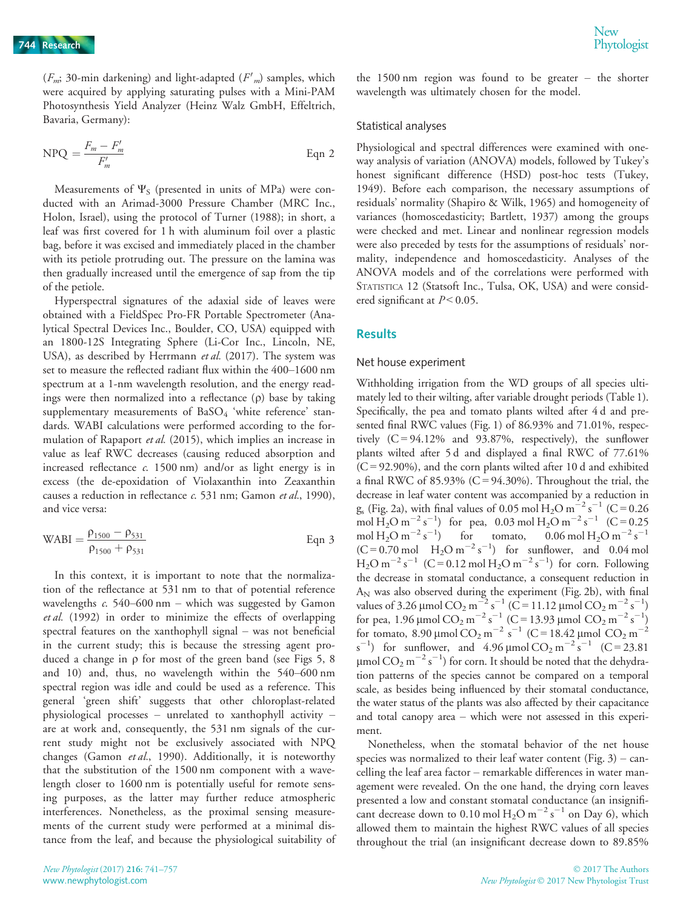$(F_m; 30$ -min darkening) and light-adapted  $(F'_m)$  samples, which were acquired by applying saturating pulses with a Mini-PAM Photosynthesis Yield Analyzer (Heinz Walz GmbH, Effeltrich, Bavaria, Germany):

$$
NPQ = \frac{F_m - F'_m}{F'_m}
$$
 Eqn 2

Measurements of  $\Psi_S$  (presented in units of MPa) were conducted with an Arimad-3000 Pressure Chamber (MRC Inc., Holon, Israel), using the protocol of Turner (1988); in short, a leaf was first covered for 1 h with aluminum foil over a plastic bag, before it was excised and immediately placed in the chamber with its petiole protruding out. The pressure on the lamina was then gradually increased until the emergence of sap from the tip of the petiole.

Hyperspectral signatures of the adaxial side of leaves were obtained with a FieldSpec Pro-FR Portable Spectrometer (Analytical Spectral Devices Inc., Boulder, CO, USA) equipped with an 1800-12S Integrating Sphere (Li-Cor Inc., Lincoln, NE, USA), as described by Herrmann et al. (2017). The system was set to measure the reflected radiant flux within the 400–1600 nm spectrum at a 1-nm wavelength resolution, and the energy readings were then normalized into a reflectance  $(\rho)$  base by taking supplementary measurements of  $BaSO<sub>4</sub>$  'white reference' standards. WABI calculations were performed according to the formulation of Rapaport et al. (2015), which implies an increase in value as leaf RWC decreases (causing reduced absorption and increased reflectance  $c$ . 1500 nm) and/or as light energy is in excess (the de-epoxidation of Violaxanthin into Zeaxanthin causes a reduction in reflectance c. 531 nm; Gamon et al., 1990), and vice versa:

$$
WABI = \frac{\rho_{1500} - \rho_{531}}{\rho_{1500} + \rho_{531}}
$$
 Eqn 3

In this context, it is important to note that the normalization of the reflectance at 531 nm to that of potential reference wavelengths  $c. 540-600$  nm – which was suggested by Gamon et al. (1992) in order to minimize the effects of overlapping spectral features on the xanthophyll signal – was not beneficial in the current study; this is because the stressing agent produced a change in  $\rho$  for most of the green band (see Figs 5, 8) and 10) and, thus, no wavelength within the 540–600 nm spectral region was idle and could be used as a reference. This general 'green shift' suggests that other chloroplast-related physiological processes – unrelated to xanthophyll activity – are at work and, consequently, the 531 nm signals of the current study might not be exclusively associated with NPQ changes (Gamon et al., 1990). Additionally, it is noteworthy that the substitution of the 1500 nm component with a wavelength closer to 1600 nm is potentially useful for remote sensing purposes, as the latter may further reduce atmospheric interferences. Nonetheless, as the proximal sensing measurements of the current study were performed at a minimal distance from the leaf, and because the physiological suitability of the 1500 nm region was found to be greater – the shorter wavelength was ultimately chosen for the model.

#### Statistical analyses

Physiological and spectral differences were examined with oneway analysis of variation (ANOVA) models, followed by Tukey's honest significant difference (HSD) post-hoc tests (Tukey, 1949). Before each comparison, the necessary assumptions of residuals' normality (Shapiro & Wilk, 1965) and homogeneity of variances (homoscedasticity; Bartlett, 1937) among the groups were checked and met. Linear and nonlinear regression models were also preceded by tests for the assumptions of residuals' normality, independence and homoscedasticity. Analyses of the ANOVA models and of the correlations were performed with STATISTICA 12 (Statsoft Inc., Tulsa, OK, USA) and were considered significant at  $P < 0.05$ .

#### **Results**

#### Net house experiment

Withholding irrigation from the WD groups of all species ultimately led to their wilting, after variable drought periods (Table 1). Specifically, the pea and tomato plants wilted after 4 d and presented final RWC values (Fig. 1) of 86.93% and 71.01%, respectively  $(C = 94.12\%$  and 93.87%, respectively), the sunflower plants wilted after 5 d and displayed a final RWC of 77.61%  $(C = 92.90\%)$ , and the corn plants wilted after 10 d and exhibited a final RWC of 85.93% ( $C = 94.30$ %). Throughout the trial, the decrease in leaf water content was accompanied by a reduction in  $g_s$  (Fig. 2a), with final values of 0.05 mol H<sub>2</sub>O m<sup>-2</sup> s<sup>-1</sup> (C = 0.26) mol H<sub>2</sub>O m<sup>-2</sup> s<sup>-1</sup>) for pea, 0.03 mol H<sub>2</sub>O m<sup>-2</sup> s<sup>-1</sup> (C = 0.25) mol  $H_2O$  m<sup>-2</sup> s<sup>-1</sup> ) for tomato,  $0.06 \text{ mol H}_2\text{O m}^{-2} \text{ s}^{-1}$  $(C = 0.70 \text{ mol} \text{ H}_2\text{O m}^{-2} \text{ s}^{-1})$  for sunflower, and 0.04 mol  $H_2O \text{ m}^{-2} \text{ s}^{-1}$  (C = 0.12 mol  $H_2O \text{ m}^{-2} \text{ s}^{-1}$ ) for corn. Following the decrease in stomatal conductance, a consequent reduction in  $A_N$  was also observed during the experiment (Fig. 2b), with final values of 3.26  $\mu$ mol CO<sub>2</sub> m<sup>-2</sup> s<sup>-1</sup> (C = 11.12  $\mu$ mol CO<sub>2</sub> m<sup>-2</sup> s<sup>-1</sup>) for pea, 1.96  $\mu$ mol CO<sub>2</sub> m<sup>-2</sup> s<sup>-1</sup> (C = 13.93  $\mu$ mol CO<sub>2</sub> m<sup>-2</sup> s<sup>-1</sup>) for tomato, 8.90 µmol CO<sub>2</sub> m<sup>-2</sup> s<sup>-1</sup> (C = 18.42 µmol CO<sub>2</sub> m<sup>-2</sup> s<sup>-1</sup>) for sunflower, and  $4.96 \,\mu$ mol CO<sub>2</sub> m<sup>-2</sup> s<sup>-1</sup> (C = 23.81) µmol  $CO_2$  m<sup>-2</sup> s<sup>-1</sup>) for corn. It should be noted that the dehydration patterns of the species cannot be compared on a temporal scale, as besides being influenced by their stomatal conductance, the water status of the plants was also affected by their capacitance and total canopy area – which were not assessed in this experiment.

Nonetheless, when the stomatal behavior of the net house species was normalized to their leaf water content (Fig.  $3$ ) – cancelling the leaf area factor – remarkable differences in water management were revealed. On the one hand, the drying corn leaves presented a low and constant stomatal conductance (an insignificant decrease down to  $0.10$  mol  $\text{H}_2\text{O m}^{-2} \text{ s}^{-1}$  on Day 6), which allowed them to maintain the highest RWC values of all species throughout the trial (an insignificant decrease down to 89.85%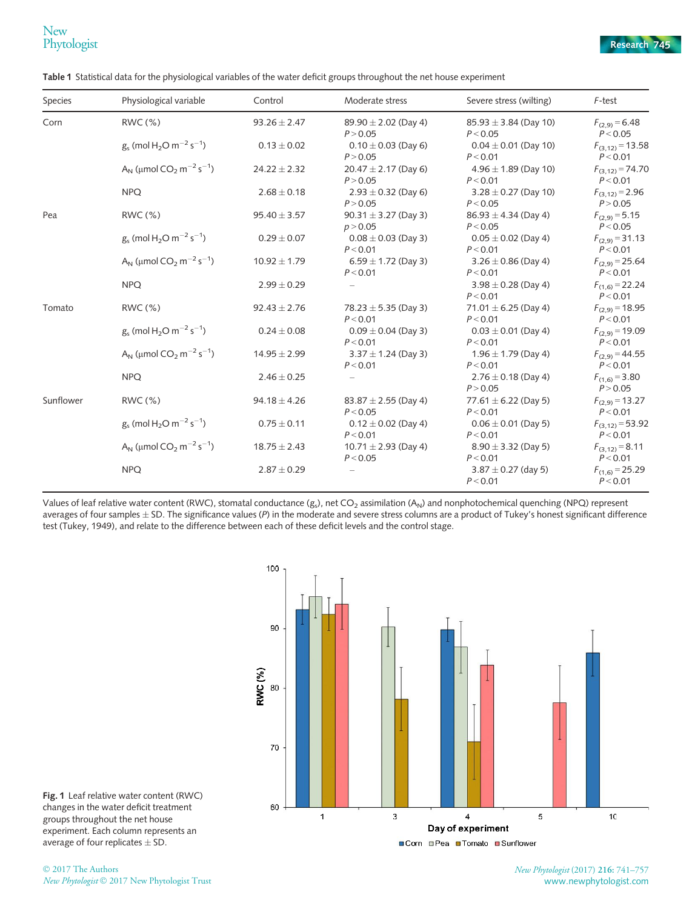|  |  |  |  | <b>Table 1</b> Statistical data for the physiological variables of the water deficit groups throughout the net house experiment |  |
|--|--|--|--|---------------------------------------------------------------------------------------------------------------------------------|--|
|--|--|--|--|---------------------------------------------------------------------------------------------------------------------------------|--|

| Species   | Physiological variable                                                 | Control          | Moderate stress                      | Severe stress (wilting)               | F-test                           |
|-----------|------------------------------------------------------------------------|------------------|--------------------------------------|---------------------------------------|----------------------------------|
| Corn      | RWC(%)                                                                 | $93.26 \pm 2.47$ | $89.90 \pm 2.02$ (Day 4)<br>P > 0.05 | $85.93 \pm 3.84$ (Day 10)<br>P < 0.05 | $F_{(2,9)} = 6.48$<br>P < 0.05   |
|           | $g_s$ (mol H <sub>2</sub> O m <sup>-2</sup> s <sup>-1</sup> )          | $0.13 \pm 0.02$  | $0.10 \pm 0.03$ (Day 6)<br>P > 0.05  | $0.04 \pm 0.01$ (Day 10)<br>P < 0.01  | $F_{(3,12)} = 13.58$<br>P < 0.01 |
|           | A <sub>N</sub> (µmol CO <sub>2</sub> m <sup>-2</sup> s <sup>-1</sup> ) | $24.22 \pm 2.32$ | $20.47 \pm 2.17$ (Day 6)<br>P > 0.05 | $4.96 \pm 1.89$ (Day 10)<br>P < 0.01  | $F_{(3,12)} = 74.70$<br>P < 0.01 |
|           | <b>NPO</b>                                                             | $2.68 \pm 0.18$  | $2.93 \pm 0.32$ (Day 6)<br>P > 0.05  | $3.28 \pm 0.27$ (Day 10)<br>P < 0.05  | $F_{(3,12)} = 2.96$<br>P > 0.05  |
| Pea       | RWC(%)                                                                 | $95.40 \pm 3.57$ | $90.31 \pm 3.27$ (Day 3)<br>p > 0.05 | $86.93 \pm 4.34$ (Day 4)<br>P < 0.05  | $F_{(2,9)} = 5.15$<br>P < 0.05   |
|           | $g_s$ (mol H <sub>2</sub> O m <sup>-2</sup> s <sup>-1</sup> )          | $0.29 \pm 0.07$  | $0.08 \pm 0.03$ (Day 3)<br>P < 0.01  | $0.05 \pm 0.02$ (Day 4)<br>P < 0.01   | $F_{(2,9)} = 31.13$<br>P < 0.01  |
|           | A <sub>N</sub> (µmol CO <sub>2</sub> m <sup>-2</sup> s <sup>-1</sup> ) | $10.92 \pm 1.79$ | $6.59 \pm 1.72$ (Day 3)<br>P < 0.01  | $3.26 \pm 0.86$ (Day 4)<br>P < 0.01   | $F(2.9) = 25.64$<br>P < 0.01     |
|           | <b>NPO</b>                                                             | $2.99 \pm 0.29$  |                                      | $3.98 \pm 0.28$ (Day 4)<br>P < 0.01   | $F_{(1,6)} = 22.24$<br>P < 0.01  |
| Tomato    | RWC(%)                                                                 | $92.43 \pm 2.76$ | 78.23 $\pm$ 5.35 (Day 3)<br>P < 0.01 | 71.01 $\pm$ 6.25 (Day 4)<br>P < 0.01  | $F_{(2,9)} = 18.95$<br>P < 0.01  |
|           | $g_s$ (mol H <sub>2</sub> O m <sup>-2</sup> s <sup>-1</sup> )          | $0.24 \pm 0.08$  | $0.09 \pm 0.04$ (Day 3)<br>P < 0.01  | $0.03 \pm 0.01$ (Day 4)<br>P < 0.01   | $F_{(2,9)} = 19.09$<br>P < 0.01  |
|           | A <sub>N</sub> (umol CO <sub>2</sub> m <sup>-2</sup> s <sup>-1</sup> ) | $14.95 \pm 2.99$ | $3.37 \pm 1.24$ (Day 3)<br>P < 0.01  | $1.96 \pm 1.79$ (Day 4)<br>P < 0.01   | $F_{(2,9)} = 44.55$<br>P < 0.01  |
|           | <b>NPO</b>                                                             | $2.46 \pm 0.25$  |                                      | $2.76 \pm 0.18$ (Day 4)<br>P > 0.05   | $F_{(1,6)} = 3.80$<br>P > 0.05   |
| Sunflower | RWC (%)                                                                | $94.18 \pm 4.26$ | 83.87 $\pm$ 2.55 (Day 4)<br>P < 0.05 | 77.61 $\pm$ 6.22 (Day 5)<br>P < 0.01  | $F_{(2,9)} = 13.27$<br>P < 0.01  |
|           | $g_s$ (mol H <sub>2</sub> O m <sup>-2</sup> s <sup>-1</sup> )          | $0.75 \pm 0.11$  | $0.12 \pm 0.02$ (Day 4)<br>P < 0.01  | $0.06 \pm 0.01$ (Day 5)<br>P < 0.01   | $F_{(3,12)} = 53.92$<br>P < 0.01 |
|           | A <sub>N</sub> (µmol CO <sub>2</sub> m <sup>-2</sup> s <sup>-1</sup> ) | $18.75 \pm 2.43$ | $10.71 \pm 2.93$ (Day 4)<br>P < 0.05 | $8.90 \pm 3.32$ (Day 5)<br>P < 0.01   | $F_{(3,12)} = 8.11$<br>P < 0.01  |
|           | <b>NPQ</b>                                                             | $2.87 \pm 0.29$  |                                      | $3.87 \pm 0.27$ (day 5)<br>P < 0.01   | $F_{(1,6)} = 25.29$<br>P < 0.01  |

Values of leaf relative water content (RWC), stomatal conductance (g<sub>s</sub>), net CO<sub>2</sub> assimilation (A<sub>N</sub>) and nonphotochemical quenching (NPQ) represent averages of four samples  $\pm$  SD. The significance values (P) in the moderate and severe stress columns are a product of Tukey's honest significant difference test (Tukey, 1949), and relate to the difference between each of these deficit levels and the control stage.



Fig. 1 Leaf relative water content (RWC) changes in the water deficit treatment groups throughout the net house experiment. Each column represents an average of four replicates  $\pm$  SD.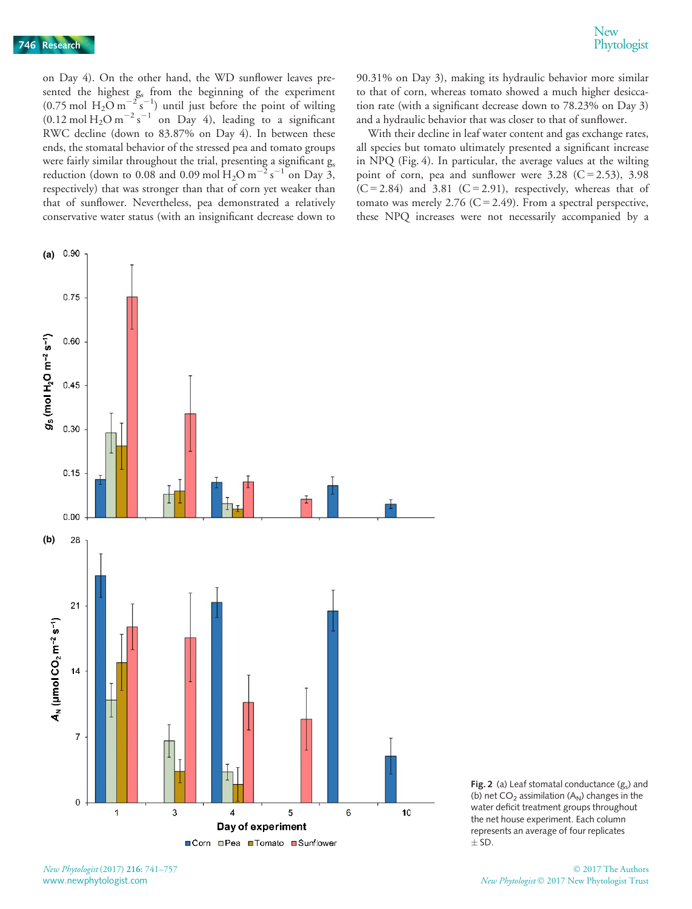90.31% on Day 3), making its hydraulic behavior more similar to that of corn, whereas tomato showed a much higher desiccation rate (with a significant decrease down to 78.23% on Day 3) and a hydraulic behavior that was closer to that of sunflower. With their decline in leaf water content and gas exchange rates, all species but tomato ultimately presented a significant increase in NPQ (Fig. 4). In particular, the average values at the wilting point of corn, pea and sunflower were  $3.28$  (C = 2.53), 3.98  $(C = 2.84)$  and 3.81  $(C = 2.91)$ , respectively, whereas that of tomato was merely 2.76 ( $C = 2.49$ ). From a spectral perspective, these NPQ increases were not necessarily accompanied by a

on Day 4). On the other hand, the WD sunflower leaves presented the highest gs from the beginning of the experiment  $(0.75 \text{ mol H}_2\text{O m}^{-2} \text{ s}^{-1})$  until just before the point of wilting  $(0.12 \text{ mol H}_2\text{O m}^{-2} \text{ s}^{-1}$  on Day 4), leading to a significant RWC decline (down to 83.87% on Day 4). In between these ends, the stomatal behavior of the stressed pea and tomato groups were fairly similar throughout the trial, presenting a significant g<sub>s</sub> reduction (down to 0.08 and 0.09 mol  $\text{H}_{2}\text{O m}^{-2}\text{ s}^{-1}$  on Day 3, respectively) that was stronger than that of corn yet weaker than that of sunflower. Nevertheless, pea demonstrated a relatively conservative water status (with an insignificant decrease down to



Fig. 2 (a) Leaf stomatal conductance  $(g_s)$  and (b) net  $CO_2$  assimilation (A<sub>N</sub>) changes in the water deficit treatment groups throughout the net house experiment. Each column represents an average of four replicates  $\pm$  SD.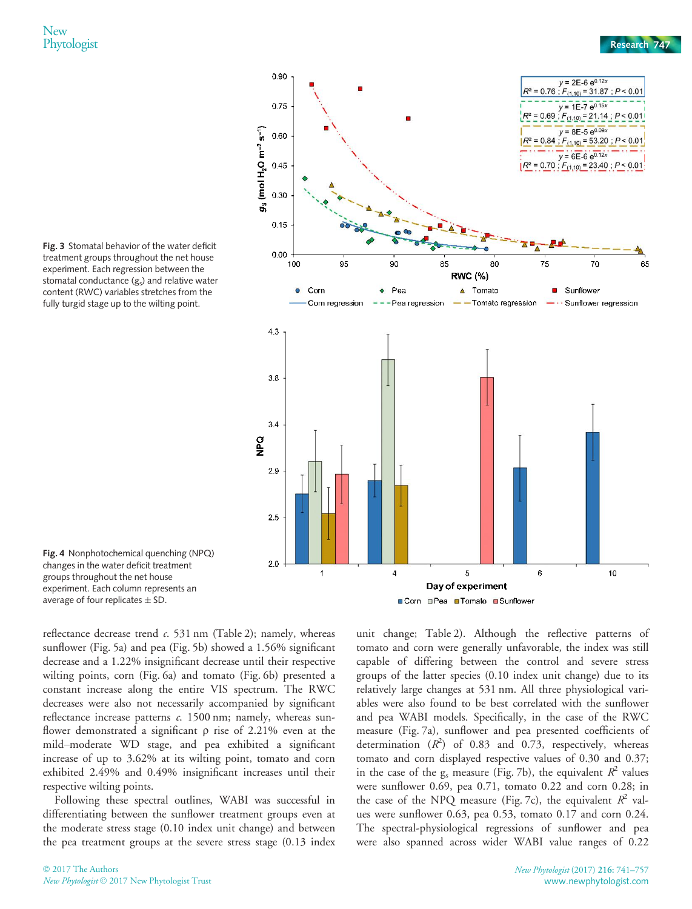Fig. 3 Stomatal behavior of the water deficit treatment groups throughout the net house experiment. Each regression between the stomatal conductance  $(g_s)$  and relative water content (RWC) variables stretches from the fully turgid stage up to the wilting point.



Fig. 4 Nonphotochemical quenching (NPQ) changes in the water deficit treatment groups throughout the net house experiment. Each column represents an average of four replicates  $\pm$  SD.

reflectance decrease trend c. 531 nm (Table 2); namely, whereas sunflower (Fig. 5a) and pea (Fig. 5b) showed a 1.56% significant decrease and a 1.22% insignificant decrease until their respective wilting points, corn (Fig. 6a) and tomato (Fig. 6b) presented a constant increase along the entire VIS spectrum. The RWC decreases were also not necessarily accompanied by significant reflectance increase patterns  $c$ . 1500 nm; namely, whereas sunflower demonstrated a significant  $\rho$  rise of 2.21% even at the mild–moderate WD stage, and pea exhibited a significant increase of up to 3.62% at its wilting point, tomato and corn exhibited 2.49% and 0.49% insignificant increases until their respective wilting points.

Following these spectral outlines, WABI was successful in differentiating between the sunflower treatment groups even at the moderate stress stage (0.10 index unit change) and between the pea treatment groups at the severe stress stage (0.13 index

unit change; Table 2). Although the reflective patterns of tomato and corn were generally unfavorable, the index was still capable of differing between the control and severe stress groups of the latter species (0.10 index unit change) due to its relatively large changes at 531 nm. All three physiological variables were also found to be best correlated with the sunflower and pea WABI models. Specifically, in the case of the RWC measure (Fig. 7a), sunflower and pea presented coefficients of determination  $(R^2)$  of 0.83 and 0.73, respectively, whereas tomato and corn displayed respective values of 0.30 and 0.37; in the case of the  $g_s$  measure (Fig. 7b), the equivalent  $R^2$  values were sunflower 0.69, pea 0.71, tomato 0.22 and corn 0.28; in the case of the NPQ measure (Fig. 7c), the equivalent  $R^2$  values were sunflower 0.63, pea 0.53, tomato 0.17 and corn 0.24. The spectral-physiological regressions of sunflower and pea were also spanned across wider WABI value ranges of 0.22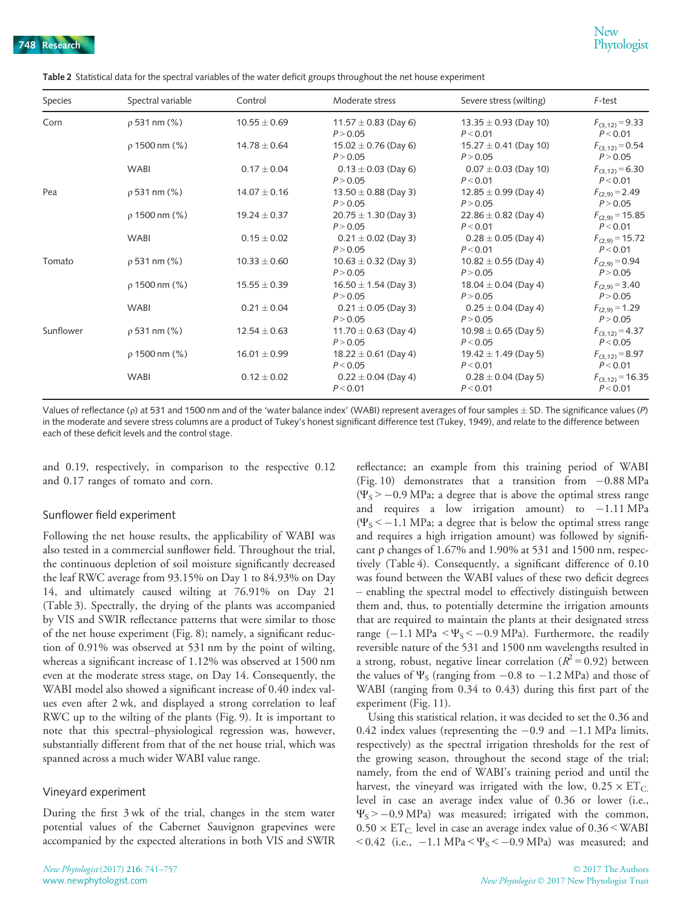Table 2 Statistical data for the spectral variables of the water deficit groups throughout the net house experiment

| Species   | Spectral variable  | Control          | Moderate stress                      | Severe stress (wilting)               | F-test                           |
|-----------|--------------------|------------------|--------------------------------------|---------------------------------------|----------------------------------|
| Corn      | $p 531$ nm $(\%)$  | $10.55 \pm 0.69$ | 11.57 $\pm$ 0.83 (Day 6)<br>P > 0.05 | 13.35 $\pm$ 0.93 (Day 10)<br>P < 0.01 | $F_{(3,12)} = 9.33$<br>P < 0.01  |
|           | $\rho$ 1500 nm (%) | $14.78 \pm 0.64$ | $15.02 \pm 0.76$ (Day 6)<br>P > 0.05 | $15.27 \pm 0.41$ (Day 10)<br>P > 0.05 | $F_{(3,12)} = 0.54$<br>P > 0.05  |
|           | <b>WABI</b>        | $0.17 \pm 0.04$  | $0.13 \pm 0.03$ (Day 6)<br>P > 0.05  | $0.07 \pm 0.03$ (Day 10)<br>P < 0.01  | $F_{(3,12)} = 6.30$<br>P < 0.01  |
| Pea       | $p 531$ nm $(\%)$  | $14.07 \pm 0.16$ | 13.50 $\pm$ 0.88 (Day 3)<br>P > 0.05 | 12.85 $\pm$ 0.99 (Day 4)<br>P > 0.05  | $F_{(2,9)} = 2.49$<br>P > 0.05   |
|           | $p 1500$ nm $(\%)$ | $19.24 \pm 0.37$ | $20.75 \pm 1.30$ (Day 3)<br>P > 0.05 | 22.86 $\pm$ 0.82 (Day 4)<br>P < 0.01  | $F_{(2,9)} = 15.85$<br>P < 0.01  |
|           | <b>WABI</b>        | $0.15 \pm 0.02$  | $0.21 \pm 0.02$ (Day 3)<br>P > 0.05  | $0.28 \pm 0.05$ (Day 4)<br>P < 0.01   | $F_{(2,9)} = 15.72$<br>P < 0.01  |
| Tomato    | $p 531$ nm $(\%)$  | $10.33 \pm 0.60$ | $10.63 \pm 0.32$ (Day 3)<br>P > 0.05 | $10.82 \pm 0.55$ (Day 4)<br>P > 0.05  | $F_{(2,9)} = 0.94$<br>P > 0.05   |
|           | $\rho$ 1500 nm (%) | $15.55 \pm 0.39$ | $16.50 \pm 1.54$ (Day 3)<br>P > 0.05 | 18.04 $\pm$ 0.04 (Day 4)<br>P > 0.05  | $F_{(2,9)} = 3.40$<br>P > 0.05   |
|           | <b>WABI</b>        | $0.21 \pm 0.04$  | $0.21 \pm 0.05$ (Day 3)<br>P > 0.05  | $0.25 \pm 0.04$ (Day 4)<br>P > 0.05   | $F_{(2,9)} = 1.29$<br>P > 0.05   |
| Sunflower | $p 531$ nm $(\%)$  | $12.54 \pm 0.63$ | 11.70 $\pm$ 0.63 (Day 4)<br>P > 0.05 | $10.98 \pm 0.65$ (Day 5)<br>P < 0.05  | $F_{(3,12)} = 4.37$<br>P < 0.05  |
|           | $p 1500$ nm $(\%)$ | $16.01 \pm 0.99$ | $18.22 \pm 0.61$ (Day 4)<br>P < 0.05 | 19.42 $\pm$ 1.49 (Day 5)<br>P < 0.01  | $F_{(3,12)} = 8.97$<br>P < 0.01  |
|           | <b>WABI</b>        | $0.12 \pm 0.02$  | $0.22 \pm 0.04$ (Day 4)<br>P < 0.01  | $0.28 \pm 0.04$ (Day 5)<br>P < 0.01   | $F_{(3,12)} = 16.35$<br>P < 0.01 |

Values of reflectance (p) at 531 and 1500 nm and of the 'water balance index' (WABI) represent averages of four samples  $\pm$  SD. The significance values (P) in the moderate and severe stress columns are a product of Tukey's honest significant difference test (Tukey, 1949), and relate to the difference between each of these deficit levels and the control stage.

and 0.19, respectively, in comparison to the respective 0.12 and 0.17 ranges of tomato and corn.

#### Sunflower field experiment

Following the net house results, the applicability of WABI was also tested in a commercial sunflower field. Throughout the trial, the continuous depletion of soil moisture significantly decreased the leaf RWC average from 93.15% on Day 1 to 84.93% on Day 14, and ultimately caused wilting at 76.91% on Day 21 (Table 3). Spectrally, the drying of the plants was accompanied by VIS and SWIR reflectance patterns that were similar to those of the net house experiment (Fig. 8); namely, a significant reduction of 0.91% was observed at 531 nm by the point of wilting, whereas a significant increase of 1.12% was observed at 1500 nm even at the moderate stress stage, on Day 14. Consequently, the WABI model also showed a significant increase of 0.40 index values even after 2 wk, and displayed a strong correlation to leaf RWC up to the wilting of the plants (Fig. 9). It is important to note that this spectral–physiological regression was, however, substantially different from that of the net house trial, which was spanned across a much wider WABI value range.

#### Vineyard experiment

During the first 3 wk of the trial, changes in the stem water potential values of the Cabernet Sauvignon grapevines were accompanied by the expected alterations in both VIS and SWIR

reflectance; an example from this training period of WABI (Fig. 10) demonstrates that a transition from  $-0.88$  MPa  $(\Psi_S > -0.9$  MPa; a degree that is above the optimal stress range and requires a low irrigation amount) to  $-1.11 \text{ MPa}$  $(\Psi_S < -1.1$  MPa; a degree that is below the optimal stress range and requires a high irrigation amount) was followed by significant  $\rho$  changes of 1.67% and 1.90% at 531 and 1500 nm, respectively (Table 4). Consequently, a significant difference of 0.10 was found between the WABI values of these two deficit degrees – enabling the spectral model to effectively distinguish between them and, thus, to potentially determine the irrigation amounts that are required to maintain the plants at their designated stress range  $(-1.1 \text{ MPa} < \Psi_s < -0.9 \text{ MPa})$ . Furthermore, the readily reversible nature of the 531 and 1500 nm wavelengths resulted in a strong, robust, negative linear correlation ( $R^2 = 0.92$ ) between the values of  $\Psi_S$  (ranging from  $-0.8$  to  $-1.2$  MPa) and those of WABI (ranging from 0.34 to 0.43) during this first part of the experiment (Fig. 11).

Using this statistical relation, it was decided to set the 0.36 and 0.42 index values (representing the  $-0.9$  and  $-1.1$  MPa limits, respectively) as the spectral irrigation thresholds for the rest of the growing season, throughout the second stage of the trial; namely, from the end of WABI's training period and until the harvest, the vineyard was irrigated with the low,  $0.25 \times ET_C$ . level in case an average index value of 0.36 or lower (i.e.,  $\Psi$ <sub>S</sub> > -0.9 MPa) was measured; irrigated with the common,  $0.50 \times ET_C$  level in case an average index value of  $0.36 \le WABI$  $< 0.42$  (i.e.,  $-1.1$  MPa  $< \Psi_S < -0.9$  MPa) was measured; and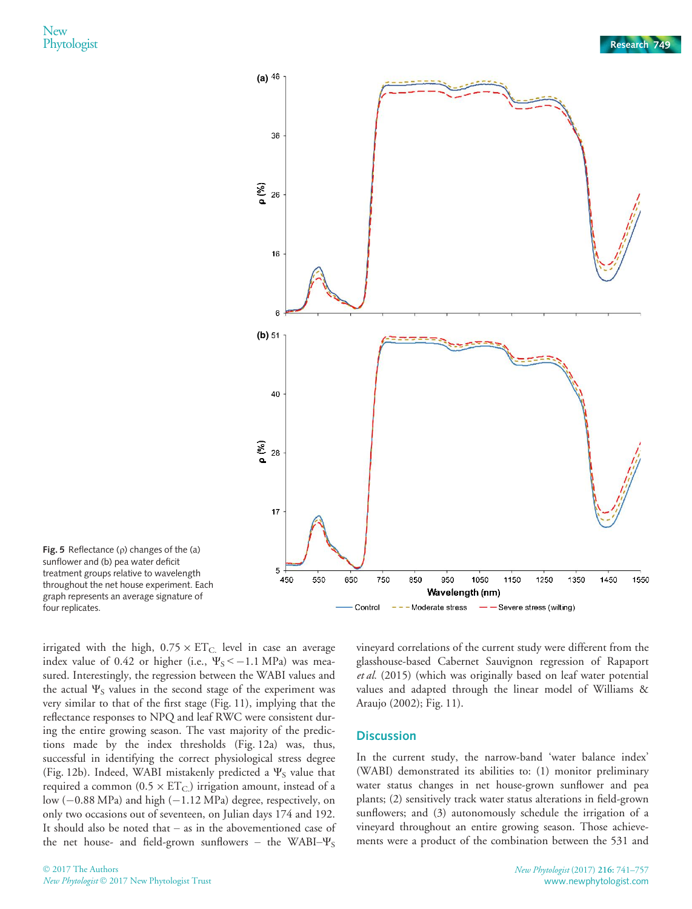

Fig. 5 Reflectance ( $\rho$ ) changes of the (a) sunflower and (b) pea water deficit treatment groups relative to wavelength throughout the net house experiment. Each graph represents an average signature of four replicates.

irrigated with the high,  $0.75 \times ET_C$  level in case an average index value of 0.42 or higher (i.e.,  $\Psi_S < -1.1$  MPa) was measured. Interestingly, the regression between the WABI values and the actual  $\Psi_S$  values in the second stage of the experiment was very similar to that of the first stage (Fig. 11), implying that the reflectance responses to NPQ and leaf RWC were consistent during the entire growing season. The vast majority of the predictions made by the index thresholds (Fig. 12a) was, thus, successful in identifying the correct physiological stress degree (Fig. 12b). Indeed, WABI mistakenly predicted a  $\Psi_S$  value that required a common ( $0.5 \times ET_{C}$ ) irrigation amount, instead of a low  $(-0.88 \text{ MPa})$  and high  $(-1.12 \text{ MPa})$  degree, respectively, on only two occasions out of seventeen, on Julian days 174 and 192. It should also be noted that – as in the abovementioned case of the net house- and field-grown sunflowers – the WABI– $\Psi_s$ 

vineyard correlations of the current study were different from the glasshouse-based Cabernet Sauvignon regression of Rapaport et al. (2015) (which was originally based on leaf water potential values and adapted through the linear model of Williams & Araujo (2002); Fig. 11).

#### **Discussion**

In the current study, the narrow-band 'water balance index' (WABI) demonstrated its abilities to: (1) monitor preliminary water status changes in net house-grown sunflower and pea plants; (2) sensitively track water status alterations in field-grown sunflowers; and (3) autonomously schedule the irrigation of a vineyard throughout an entire growing season. Those achievements were a product of the combination between the 531 and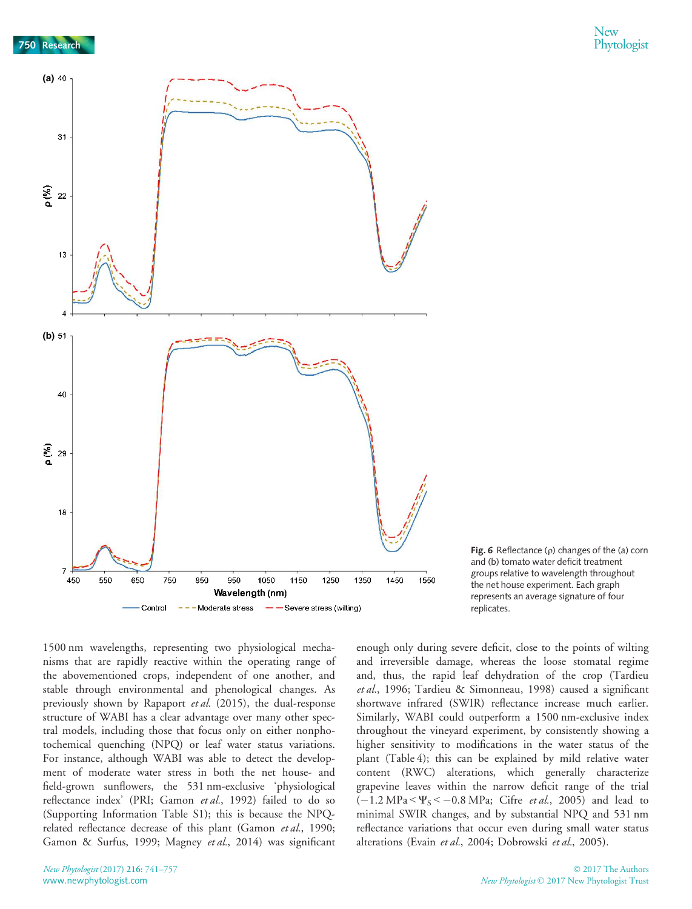



1500 nm wavelengths, representing two physiological mechanisms that are rapidly reactive within the operating range of the abovementioned crops, independent of one another, and stable through environmental and phenological changes. As previously shown by Rapaport *et al.* (2015), the dual-response structure of WABI has a clear advantage over many other spectral models, including those that focus only on either nonphotochemical quenching (NPQ) or leaf water status variations. For instance, although WABI was able to detect the development of moderate water stress in both the net house- and field-grown sunflowers, the 531 nm-exclusive 'physiological reflectance index' (PRI; Gamon et al., 1992) failed to do so (Supporting Information Table S1); this is because the NPQrelated reflectance decrease of this plant (Gamon et al., 1990; Gamon & Surfus, 1999; Magney et al., 2014) was significant

enough only during severe deficit, close to the points of wilting and irreversible damage, whereas the loose stomatal regime and, thus, the rapid leaf dehydration of the crop (Tardieu et al., 1996; Tardieu & Simonneau, 1998) caused a significant shortwave infrared (SWIR) reflectance increase much earlier. Similarly, WABI could outperform a 1500 nm-exclusive index throughout the vineyard experiment, by consistently showing a higher sensitivity to modifications in the water status of the plant (Table 4); this can be explained by mild relative water content (RWC) alterations, which generally characterize grapevine leaves within the narrow deficit range of the trial  $(-1.2 \text{ MPa} < \Psi_s < -0.8 \text{ MPa}$ ; Cifre *et al.*, 2005) and lead to minimal SWIR changes, and by substantial NPQ and 531 nm reflectance variations that occur even during small water status alterations (Evain et al., 2004; Dobrowski et al., 2005).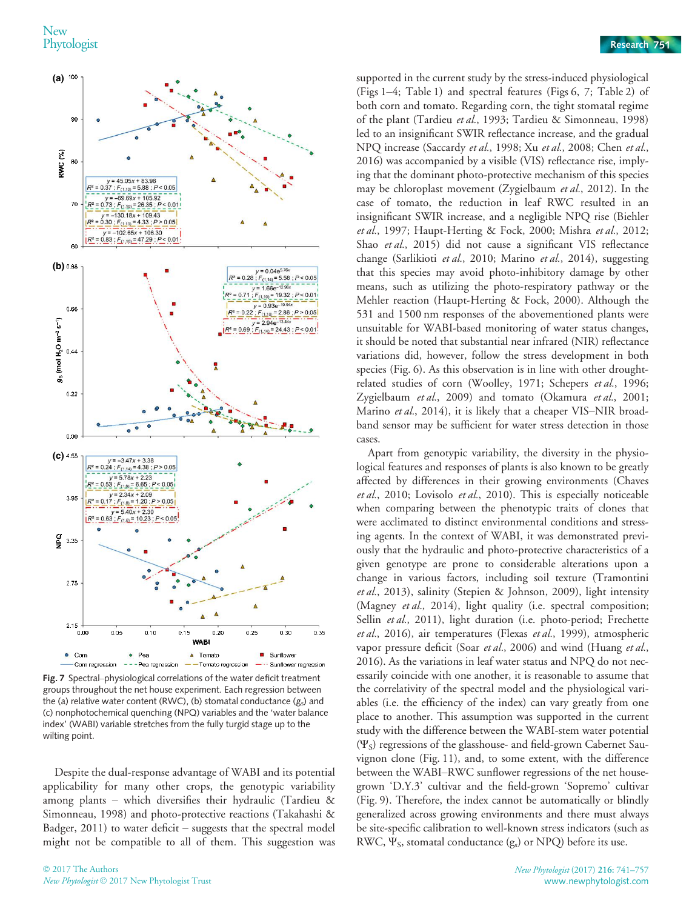

Fig. 7 Spectral–physiological correlations of the water deficit treatment groups throughout the net house experiment. Each regression between the (a) relative water content (RWC), (b) stomatal conductance  $(g<sub>s</sub>)$  and (c) nonphotochemical quenching (NPQ) variables and the 'water balance index' (WABI) variable stretches from the fully turgid stage up to the wilting point.

Despite the dual-response advantage of WABI and its potential applicability for many other crops, the genotypic variability among plants – which diversifies their hydraulic (Tardieu & Simonneau, 1998) and photo-protective reactions (Takahashi & Badger, 2011) to water deficit – suggests that the spectral model might not be compatible to all of them. This suggestion was supported in the current study by the stress-induced physiological (Figs 1–4; Table 1) and spectral features (Figs 6, 7; Table 2) of both corn and tomato. Regarding corn, the tight stomatal regime of the plant (Tardieu et al., 1993; Tardieu & Simonneau, 1998) led to an insignificant SWIR reflectance increase, and the gradual NPQ increase (Saccardy et al., 1998; Xu et al., 2008; Chen et al., 2016) was accompanied by a visible (VIS) reflectance rise, implying that the dominant photo-protective mechanism of this species may be chloroplast movement (Zygielbaum et al., 2012). In the case of tomato, the reduction in leaf RWC resulted in an insignificant SWIR increase, and a negligible NPQ rise (Biehler et al., 1997; Haupt-Herting & Fock, 2000; Mishra et al., 2012; Shao et al., 2015) did not cause a significant VIS reflectance change (Sarlikioti et al., 2010; Marino et al., 2014), suggesting that this species may avoid photo-inhibitory damage by other means, such as utilizing the photo-respiratory pathway or the Mehler reaction (Haupt-Herting & Fock, 2000). Although the 531 and 1500 nm responses of the abovementioned plants were unsuitable for WABI-based monitoring of water status changes, it should be noted that substantial near infrared (NIR) reflectance variations did, however, follow the stress development in both species (Fig. 6). As this observation is in line with other droughtrelated studies of corn (Woolley, 1971; Schepers et al., 1996; Zygielbaum et al., 2009) and tomato (Okamura et al., 2001; Marino et al., 2014), it is likely that a cheaper VIS–NIR broadband sensor may be sufficient for water stress detection in those cases.

Apart from genotypic variability, the diversity in the physiological features and responses of plants is also known to be greatly affected by differences in their growing environments (Chaves et al., 2010; Lovisolo et al., 2010). This is especially noticeable when comparing between the phenotypic traits of clones that were acclimated to distinct environmental conditions and stressing agents. In the context of WABI, it was demonstrated previously that the hydraulic and photo-protective characteristics of a given genotype are prone to considerable alterations upon a change in various factors, including soil texture (Tramontini et al., 2013), salinity (Stepien & Johnson, 2009), light intensity (Magney et al., 2014), light quality (i.e. spectral composition; Sellin et al., 2011), light duration (i.e. photo-period; Frechette et al., 2016), air temperatures (Flexas et al., 1999), atmospheric vapor pressure deficit (Soar et al., 2006) and wind (Huang et al., 2016). As the variations in leaf water status and NPQ do not necessarily coincide with one another, it is reasonable to assume that the correlativity of the spectral model and the physiological variables (i.e. the efficiency of the index) can vary greatly from one place to another. This assumption was supported in the current study with the difference between the WABI-stem water potential  $(\Psi_S)$  regressions of the glasshouse- and field-grown Cabernet Sauvignon clone (Fig. 11), and, to some extent, with the difference between the WABI–RWC sunflower regressions of the net housegrown 'D.Y.3' cultivar and the field-grown 'Sopremo' cultivar (Fig. 9). Therefore, the index cannot be automatically or blindly generalized across growing environments and there must always be site-specific calibration to well-known stress indicators (such as RWC,  $\Psi_S$ , stomatal conductance  $(g_s)$  or NPQ) before its use.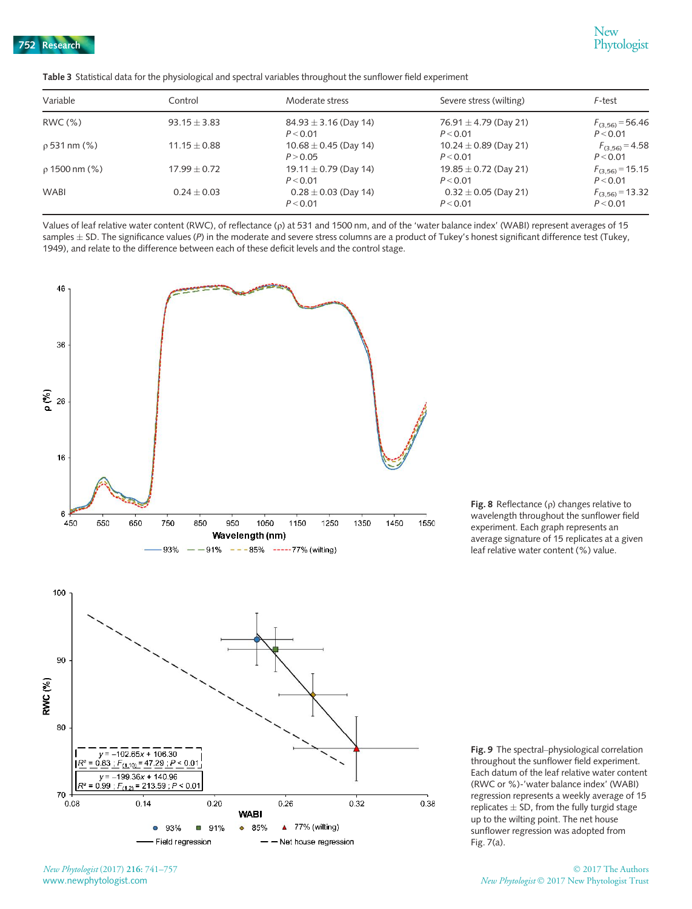| Variable           | Control          | Moderate stress                       | Severe stress (wilting)               | F-test                           |
|--------------------|------------------|---------------------------------------|---------------------------------------|----------------------------------|
| RWC (%)            | $93.15 \pm 3.83$ | $84.93 \pm 3.16$ (Day 14)<br>P < 0.01 | 76.91 $\pm$ 4.79 (Day 21)<br>P < 0.01 | $F_{(3.56)} = 56.46$<br>P < 0.01 |
| $\rho$ 531 nm (%)  | $11.15 \pm 0.88$ | $10.68 \pm 0.45$ (Day 14)<br>P > 0.05 | $10.24 \pm 0.89$ (Day 21)<br>P < 0.01 | $F_{(3,56)} = 4.58$<br>P < 0.01  |
| $\rho$ 1500 nm (%) | $17.99 \pm 0.72$ | 19.11 $\pm$ 0.79 (Day 14)<br>P < 0.01 | $19.85 \pm 0.72$ (Day 21)<br>P < 0.01 | $F_{(3,56)} = 15.15$<br>P < 0.01 |
| <b>WABI</b>        | $0.24 \pm 0.03$  | $0.28 \pm 0.03$ (Day 14)<br>P < 0.01  | $0.32 \pm 0.05$ (Day 21)<br>P < 0.01  | $F_{(3.56)} = 13.32$<br>P < 0.01 |

Table 3 Statistical data for the physiological and spectral variables throughout the sunflower field experiment

Values of leaf relative water content (RWC), of reflectance (p) at 531 and 1500 nm, and of the 'water balance index' (WABI) represent averages of 15 samples  $\pm$  SD. The significance values (P) in the moderate and severe stress columns are a product of Tukey's honest significant difference test (Tukey, 1949), and relate to the difference between each of these deficit levels and the control stage.



Fig. 8 Reflectance ( $\rho$ ) changes relative to wavelength throughout the sunflower field experiment. Each graph represents an average signature of 15 replicates at a given leaf relative water content (%) value.

Fig. 9 The spectral–physiological correlation throughout the sunflower field experiment. Each datum of the leaf relative water content (RWC or %)-'water balance index' (WABI) regression represents a weekly average of 15 replicates  $\pm$  SD, from the fully turgid stage up to the wilting point. The net house sunflower regression was adopted from Fig. 7(a).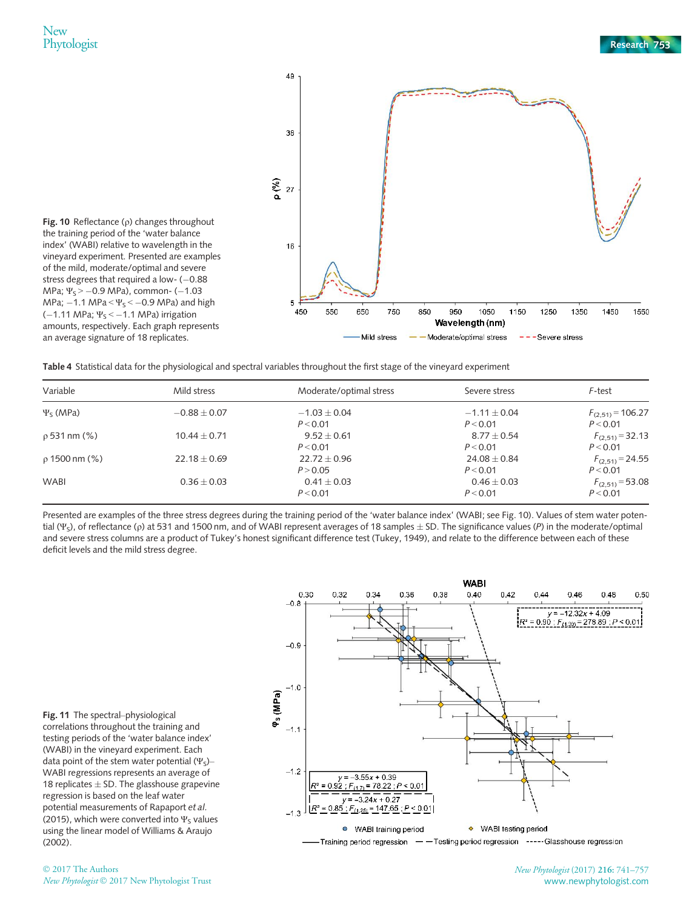

Table 4 Statistical data for the physiological and spectral variables throughout the first stage of the vineyard experiment

| Variable           | Mild stress      | Moderate/optimal stress      | Severe stress                | F-test                            |
|--------------------|------------------|------------------------------|------------------------------|-----------------------------------|
| $\Psi_S$ (MPa)     | $-0.88 \pm 0.07$ | $-1.03 \pm 0.04$<br>P < 0.01 | $-1.11 \pm 0.04$<br>P < 0.01 | $F_{(2.51)}$ = 106.27<br>P < 0.01 |
| $\rho$ 531 nm (%)  | $10.44 \pm 0.71$ | $9.52 \pm 0.61$<br>P < 0.01  | $8.77 \pm 0.54$<br>P < 0.01  | $F_{(2.51)} = 32.13$<br>P < 0.01  |
| $\rho$ 1500 nm (%) | $22.18 + 0.69$   | $22.72 + 0.96$<br>P > 0.05   | $24.08 + 0.84$<br>P < 0.01   | $F_{(2,51)} = 24.55$<br>P < 0.01  |
| <b>WABI</b>        | $0.36 \pm 0.03$  | $0.41 \pm 0.03$<br>P < 0.01  | $0.46 \pm 0.03$<br>P < 0.01  | $F_{(2,51)} = 53.08$<br>P < 0.01  |

Presented are examples of the three stress degrees during the training period of the 'water balance index' (WABI; see Fig. 10). Values of stem water potential (Ψ<sub>S</sub>), of reflectance (ρ) at 531 and 1500 nm, and of WABI represent averages of 18 samples  $\pm$  SD. The significance values (*P*) in the moderate/optimal and severe stress columns are a product of Tukey's honest significant difference test (Tukey, 1949), and relate to the difference between each of these deficit levels and the mild stress degree.

Fig. 11 The spectral–physiological correlations throughout the training and testing periods of the 'water balance index' (WABI) in the vineyard experiment. Each data point of the stem water potential  $(\Psi_S)$ – WABI regressions represents an average of 18 replicates  $\pm$  SD. The glasshouse grapevine regression is based on the leaf water potential measurements of Rapaport et al. (2015), which were converted into  $\Psi_S$  values using the linear model of Williams & Araujo (2002).



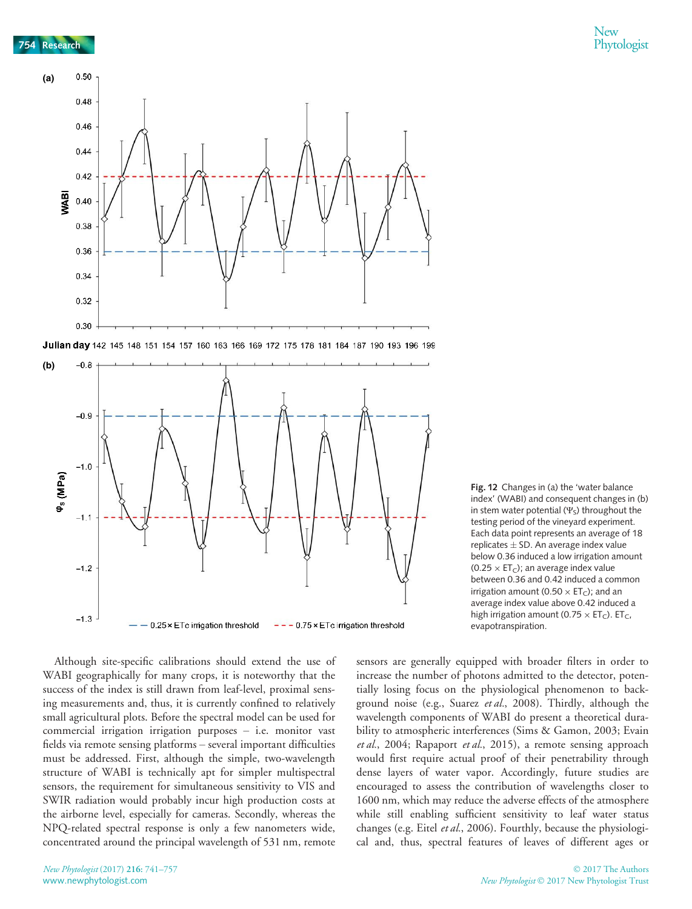

Julian day 142 145 148 151 154 157 160 163 166 169 172 175 178 181 184 187 190 193 196 199



Although site-specific calibrations should extend the use of WABI geographically for many crops, it is noteworthy that the success of the index is still drawn from leaf-level, proximal sensing measurements and, thus, it is currently confined to relatively small agricultural plots. Before the spectral model can be used for commercial irrigation irrigation purposes – i.e. monitor vast fields via remote sensing platforms – several important difficulties must be addressed. First, although the simple, two-wavelength structure of WABI is technically apt for simpler multispectral sensors, the requirement for simultaneous sensitivity to VIS and SWIR radiation would probably incur high production costs at the airborne level, especially for cameras. Secondly, whereas the NPQ-related spectral response is only a few nanometers wide, concentrated around the principal wavelength of 531 nm, remote

Fig. 12 Changes in (a) the 'water balance index' (WABI) and consequent changes in (b) in stem water potential ( $\Psi_S$ ) throughout the testing period of the vineyard experiment. Each data point represents an average of 18 replicates  $\pm$  SD. An average index value below 0.36 induced a low irrigation amount  $(0.25 \times ET_C)$ ; an average index value between 0.36 and 0.42 induced a common irrigation amount (0.50  $\times$  ET<sub>C</sub>); and an average index value above 0.42 induced a high irrigation amount (0.75  $\times$  ET<sub>C</sub>). ET<sub>C</sub>, evapotranspiration.

sensors are generally equipped with broader filters in order to increase the number of photons admitted to the detector, potentially losing focus on the physiological phenomenon to background noise (e.g., Suarez et al., 2008). Thirdly, although the wavelength components of WABI do present a theoretical durability to atmospheric interferences (Sims & Gamon, 2003; Evain et al., 2004; Rapaport et al., 2015), a remote sensing approach would first require actual proof of their penetrability through dense layers of water vapor. Accordingly, future studies are encouraged to assess the contribution of wavelengths closer to 1600 nm, which may reduce the adverse effects of the atmosphere while still enabling sufficient sensitivity to leaf water status changes (e.g. Eitel et al., 2006). Fourthly, because the physiological and, thus, spectral features of leaves of different ages or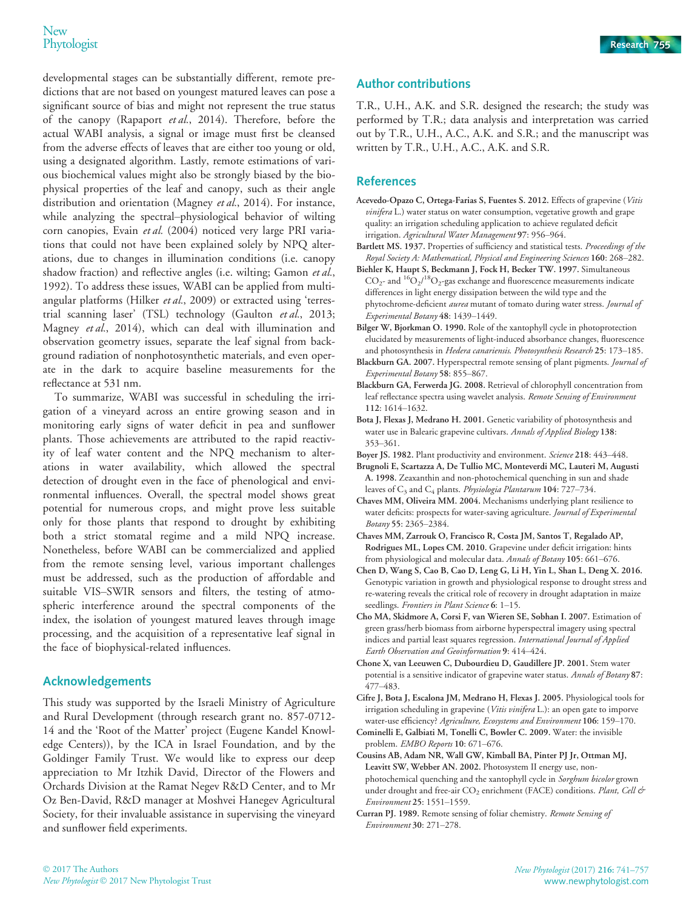developmental stages can be substantially different, remote predictions that are not based on youngest matured leaves can pose a significant source of bias and might not represent the true status of the canopy (Rapaport et al., 2014). Therefore, before the actual WABI analysis, a signal or image must first be cleansed from the adverse effects of leaves that are either too young or old, using a designated algorithm. Lastly, remote estimations of various biochemical values might also be strongly biased by the biophysical properties of the leaf and canopy, such as their angle distribution and orientation (Magney et al., 2014). For instance, while analyzing the spectral–physiological behavior of wilting corn canopies, Evain et al. (2004) noticed very large PRI variations that could not have been explained solely by NPQ alterations, due to changes in illumination conditions (i.e. canopy shadow fraction) and reflective angles (i.e. wilting; Gamon et al., 1992). To address these issues, WABI can be applied from multiangular platforms (Hilker et al., 2009) or extracted using 'terrestrial scanning laser' (TSL) technology (Gaulton et al., 2013; Magney et al., 2014), which can deal with illumination and observation geometry issues, separate the leaf signal from background radiation of nonphotosynthetic materials, and even operate in the dark to acquire baseline measurements for the reflectance at 531 nm.

To summarize, WABI was successful in scheduling the irrigation of a vineyard across an entire growing season and in monitoring early signs of water deficit in pea and sunflower plants. Those achievements are attributed to the rapid reactivity of leaf water content and the NPQ mechanism to alterations in water availability, which allowed the spectral detection of drought even in the face of phenological and environmental influences. Overall, the spectral model shows great potential for numerous crops, and might prove less suitable only for those plants that respond to drought by exhibiting both a strict stomatal regime and a mild NPQ increase. Nonetheless, before WABI can be commercialized and applied from the remote sensing level, various important challenges must be addressed, such as the production of affordable and suitable VIS–SWIR sensors and filters, the testing of atmospheric interference around the spectral components of the index, the isolation of youngest matured leaves through image processing, and the acquisition of a representative leaf signal in the face of biophysical-related influences.

## Acknowledgements

This study was supported by the Israeli Ministry of Agriculture and Rural Development (through research grant no. 857-0712- 14 and the 'Root of the Matter' project (Eugene Kandel Knowledge Centers)), by the ICA in Israel Foundation, and by the Goldinger Family Trust. We would like to express our deep appreciation to Mr Itzhik David, Director of the Flowers and Orchards Division at the Ramat Negev R&D Center, and to Mr Oz Ben-David, R&D manager at Moshvei Hanegev Agricultural Society, for their invaluable assistance in supervising the vineyard and sunflower field experiments.

## Author contributions

T.R., U.H., A.K. and S.R. designed the research; the study was performed by T.R.; data analysis and interpretation was carried out by T.R., U.H., A.C., A.K. and S.R.; and the manuscript was written by T.R., U.H., A.C., A.K. and S.R.

## **References**

- Acevedo-Opazo C, Ortega-Farias S, Fuentes S. 2012. Effects of grapevine (Vitis vinifera L.) water status on water consumption, vegetative growth and grape quality: an irrigation scheduling application to achieve regulated deficit irrigation. Agricultural Water Management 97: 956–964.
- Bartlett MS. 1937. Properties of sufficiency and statistical tests. Proceedings of the Royal Society A: Mathematical, Physical and Engineering Sciences 160: 268–282.
- Biehler K, Haupt S, Beckmann J, Fock H, Becker TW. 1997. Simultaneous  $CO_2$ - and  ${}^{16}O_2/{}^{18}O_2$ -gas exchange and fluorescence measurements indicate differences in light energy dissipation between the wild type and the phytochrome-deficient aurea mutant of tomato during water stress. Journal of Experimental Botany 48: 1439–1449.
- Bilger W, Bjorkman O. 1990. Role of the xantophyll cycle in photoprotection elucidated by measurements of light-induced absorbance changes, fluorescence and photosynthesis in Hedera canariensis. Photosynthesis Research 25: 173–185.
- Blackburn GA. 2007. Hyperspectral remote sensing of plant pigments. Journal of Experimental Botany 58: 855–867.
- Blackburn GA, Ferwerda JG. 2008. Retrieval of chlorophyll concentration from leaf reflectance spectra using wavelet analysis. Remote Sensing of Environment 112: 1614–1632.
- Bota J, Flexas J, Medrano H. 2001. Genetic variability of photosynthesis and water use in Balearic grapevine cultivars. Annals of Applied Biology 138: 353–361.
- Boyer JS. 1982. Plant productivity and environment. Science 218: 443-448.
- Brugnoli E, Scartazza A, De Tullio MC, Monteverdi MC, Lauteri M, Augusti A. 1998. Zeaxanthin and non-photochemical quenching in sun and shade leaves of  $C_3$  and  $C_4$  plants. Physiologia Plantarum 104: 727-734.
- Chaves MM, Oliveira MM. 2004. Mechanisms underlying plant resilience to water deficits: prospects for water-saving agriculture. Journal of Experimental Botany 55: 2365–2384.
- Chaves MM, Zarrouk O, Francisco R, Costa JM, Santos T, Regalado AP, Rodrigues ML, Lopes CM. 2010. Grapevine under deficit irrigation: hints from physiological and molecular data. Annals of Botany 105: 661–676.
- Chen D, Wang S, Cao B, Cao D, Leng G, Li H, Yin L, Shan L, Deng X. 2016. Genotypic variation in growth and physiological response to drought stress and re-watering reveals the critical role of recovery in drought adaptation in maize seedlings. Frontiers in Plant Science 6: 1-15.
- Cho MA, Skidmore A, Corsi F, van Wieren SE, Sobhan I. 2007. Estimation of green grass/herb biomass from airborne hyperspectral imagery using spectral indices and partial least squares regression. International Journal of Applied Earth Observation and Geoinformation 9: 414–424.
- Chone X, van Leeuwen C, Dubourdieu D, Gaudillere JP. 2001. Stem water potential is a sensitive indicator of grapevine water status. Annals of Botany 87: 477–483.
- Cifre J, Bota J, Escalona JM, Medrano H, Flexas J. 2005. Physiological tools for irrigation scheduling in grapevine (Vitis vinifera L.): an open gate to imporve water-use efficiency? Agriculture, Ecosystems and Environment 106: 159-170.
- Cominelli E, Galbiati M, Tonelli C, Bowler C. 2009. Water: the invisible problem. EMBO Reports 10: 671-676.
- Cousins AB, Adam NR, Wall GW, Kimball BA, Pinter PJ Jr, Ottman MJ, Leavitt SW, Webber AN. 2002. Photosystem II energy use, nonphotochemical quenching and the xantophyll cycle in Sorghum bicolor grown under drought and free-air  $CO_2$  enrichment (FACE) conditions. Plant, Cell & Environment 25: 1551–1559.
- Curran PJ. 1989. Remote sensing of foliar chemistry. Remote Sensing of Environment 30: 271–278.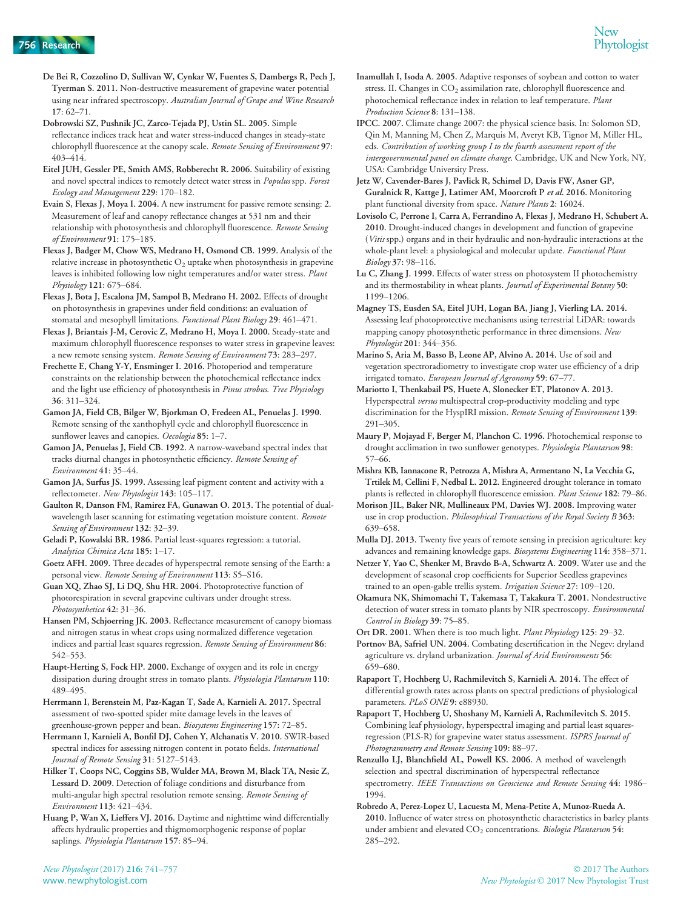- De Bei R, Cozzolino D, Sullivan W, Cynkar W, Fuentes S, Dambergs R, Pech J, Tyerman S. 2011. Non-destructive measurement of grapevine water potential using near infrared spectroscopy. Australian Journal of Grape and Wine Research 17: 62–71.
- Dobrowski SZ, Pushnik JC, Zarco-Tejada PJ, Ustin SL. 2005. Simple reflectance indices track heat and water stress-induced changes in steady-state chlorophyll fluorescence at the canopy scale. Remote Sensing of Environment 97: 403–414.
- Eitel JUH, Gessler PE, Smith AMS, Robberecht R. 2006. Suitability of existing and novel spectral indices to remotely detect water stress in Populus spp. Forest Ecology and Management 229: 170–182.
- Evain S, Flexas J, Moya I. 2004. A new instrument for passive remote sensing: 2. Measurement of leaf and canopy reflectance changes at 531 nm and their relationship with photosynthesis and chlorophyll fluorescence. Remote Sensing of Environment 91: 175–185.
- Flexas J, Badger M, Chow WS, Medrano H, Osmond CB. 1999. Analysis of the relative increase in photosynthetic  $O_2$  uptake when photosynthesis in grapevine leaves is inhibited following low night temperatures and/or water stress. Plant Physiology 121: 675–684.
- Flexas J, Bota J, Escalona JM, Sampol B, Medrano H. 2002. Effects of drought on photosynthesis in grapevines under field conditions: an evaluation of stomatal and mesophyll limitations. Functional Plant Biology 29: 461–471.
- Flexas J, Briantais J-M, Cerovic Z, Medrano H, Moya I. 2000. Steady-state and maximum chlorophyll fluorescence responses to water stress in grapevine leaves: a new remote sensing system. Remote Sensing of Environment 73: 283–297.
- Frechette E, Chang Y-Y, Ensminger I. 2016. Photoperiod and temperature constraints on the relationship between the photochemical reflectance index and the light use efficiency of photosynthesis in Pinus strobus. Tree Physiology 36: 311–324.
- Gamon JA, Field CB, Bilger W, Bjorkman O, Fredeen AL, Penuelas J. 1990. Remote sensing of the xanthophyll cycle and chlorophyll fluorescence in sunflower leaves and canopies. Oecologia 85: 1-7.
- Gamon JA, Penuelas J, Field CB. 1992. A narrow-waveband spectral index that tracks diurnal changes in photosynthetic efficiency. Remote Sensing of Environment 41: 35–44.
- Gamon JA, Surfus JS. 1999. Assessing leaf pigment content and activity with a reflectometer. New Phytologist 143: 105–117.
- Gaulton R, Danson FM, Ramirez FA, Gunawan O. 2013. The potential of dualwavelength laser scanning for estimating vegetation moisture content. Remote Sensing of Environment 132: 32–39.
- Geladi P, Kowalski BR. 1986. Partial least-squares regression: a tutorial. Analytica Chimica Acta 185: 1–17.
- Goetz AFH. 2009. Three decades of hyperspectral remote sensing of the Earth: a personal view. Remote Sensing of Environment 113: S5–S16.
- Guan XQ, Zhao SJ, Li DQ, Shu HR. 2004. Photoprotective function of photorespiration in several grapevine cultivars under drought stress. Photosynthetica 42: 31–36.
- Hansen PM, Schjoerring JK. 2003. Reflectance measurement of canopy biomass and nitrogen status in wheat crops using normalized difference vegetation indices and partial least squares regression. Remote Sensing of Environment 86: 542–553.
- Haupt-Herting S, Fock HP. 2000. Exchange of oxygen and its role in energy dissipation during drought stress in tomato plants. Physiologia Plantarum 110: 489–495.
- Herrmann I, Berenstein M, Paz-Kagan T, Sade A, Karnieli A. 2017. Spectral assessment of two-spotted spider mite damage levels in the leaves of greenhouse-grown pepper and bean. Biosystems Engineering 157: 72–85.
- Herrmann I, Karnieli A, Bonfil DJ, Cohen Y, Alchanatis V. 2010. SWIR-based spectral indices for assessing nitrogen content in potato fields. International Journal of Remote Sensing 31: 5127–5143.
- Hilker T, Coops NC, Coggins SB, Wulder MA, Brown M, Black TA, Nesic Z, Lessard D. 2009. Detection of foliage conditions and disturbance from multi-angular high spectral resolution remote sensing. Remote Sensing of Environment 113: 421–434.
- Huang P, Wan X, Lieffers VJ. 2016. Daytime and nighttime wind differentially affects hydraulic properties and thigmomorphogenic response of poplar saplings. Physiologia Plantarum 157: 85-94.
- 
- Inamullah I, Isoda A. 2005. Adaptive responses of soybean and cotton to water stress. II. Changes in  $CO<sub>2</sub>$  assimilation rate, chlorophyll fluorescence and photochemical reflectance index in relation to leaf temperature. Plant Production Science 8: 131–138.
- IPCC. 2007. Climate change 2007: the physical science basis. In: Solomon SD, Qin M, Manning M, Chen Z, Marquis M, Averyt KB, Tignor M, Miller HL, eds. Contribution of working group I to the fourth assessment report of the intergovernmental panel on climate change. Cambridge, UK and New York, NY, USA: Cambridge University Press.
- Jetz W, Cavender-Bares J, Pavlick R, Schimel D, Davis FW, Asner GP, Guralnick R, Kattge J, Latimer AM, Moorcroft P et al. 2016. Monitoring plant functional diversity from space. Nature Plants 2: 16024.
- Lovisolo C, Perrone I, Carra A, Ferrandino A, Flexas J, Medrano H, Schubert A. 2010. Drought-induced changes in development and function of grapevine (Vitis spp.) organs and in their hydraulic and non-hydraulic interactions at the whole-plant level: a physiological and molecular update. Functional Plant Biology 37: 98–116.
- Lu C, Zhang J. 1999. Effects of water stress on photosystem II photochemistry and its thermostability in wheat plants. Journal of Experimental Botany 50: 1199–1206.
- Magney TS, Eusden SA, Eitel JUH, Logan BA, Jiang J, Vierling LA. 2014. Assessing leaf photoprotective mechanisms using terrestrial LiDAR: towards mapping canopy photosynthetic performance in three dimensions. New Phytologist 201: 344–356.
- Marino S, Aria M, Basso B, Leone AP, Alvino A. 2014. Use of soil and vegetation spectroradiometry to investigate crop water use efficiency of a drip irrigated tomato. European Journal of Agronomy 59: 67–77.
- Mariotto I, Thenkabail PS, Huete A, Slonecker ET, Platonov A. 2013. Hyperspectral versus multispectral crop-productivity modeling and type discrimination for the HyspIRI mission. Remote Sensing of Environment 139: 291–305.
- Maury P, Mojayad F, Berger M, Planchon C. 1996. Photochemical response to drought acclimation in two sunflower genotypes. Physiologia Plantarum 98: 57–66.
- Mishra KB, Iannacone R, Petrozza A, Mishra A, Armentano N, La Vecchia G, Trtilek M, Cellini F, Nedbal L. 2012. Engineered drought tolerance in tomato plants is reflected in chlorophyll fluorescence emission. Plant Science 182: 79–86.
- Morison JIL, Baker NR, Mullineaux PM, Davies WJ. 2008. Improving water use in crop production. Philosophical Transactions of the Royal Society B 363: 639–658.
- Mulla DJ. 2013. Twenty five years of remote sensing in precision agriculture: key advances and remaining knowledge gaps. Biosystems Engineering 114: 358–371.
- Netzer Y, Yao C, Shenker M, Bravdo B-A, Schwartz A. 2009. Water use and the development of seasonal crop coefficients for Superior Seedless grapevines trained to an open-gable trellis system. Irrigation Science 27: 109-120.
- Okamura NK, Shimomachi T, Takemasa T, Takakura T. 2001. Nondestructive detection of water stress in tomato plants by NIR spectroscopy. Environmental Control in Biology 39: 75–85.
- Ort DR. 2001. When there is too much light. Plant Physiology 125: 29-32.
- Portnov BA, Safriel UN. 2004. Combating desertification in the Negev: dryland agriculture vs. dryland urbanization. Journal of Arid Environments 56: 659–680.
- Rapaport T, Hochberg U, Rachmilevitch S, Karnieli A. 2014. The effect of differential growth rates across plants on spectral predictions of physiological parameters. PLoS ONE 9: e88930.
- Rapaport T, Hochberg U, Shoshany M, Karnieli A, Rachmilevitch S. 2015. Combining leaf physiology, hyperspectral imaging and partial least squaresregression (PLS-R) for grapevine water status assessment. ISPRS Journal of Photogrammetry and Remote Sensing 109: 88–97.
- Renzullo LJ, Blanchfield AL, Powell KS. 2006. A method of wavelength selection and spectral discrimination of hyperspectral reflectance spectrometry. IEEE Transactions on Geoscience and Remote Sensing 44: 1986-1994.
- Robredo A, Perez-Lopez U, Lacuesta M, Mena-Petite A, Munoz-Rueda A. 2010. Influence of water stress on photosynthetic characteristics in barley plants under ambient and elevated CO<sub>2</sub> concentrations. Biologia Plantarum 54: 285–292.